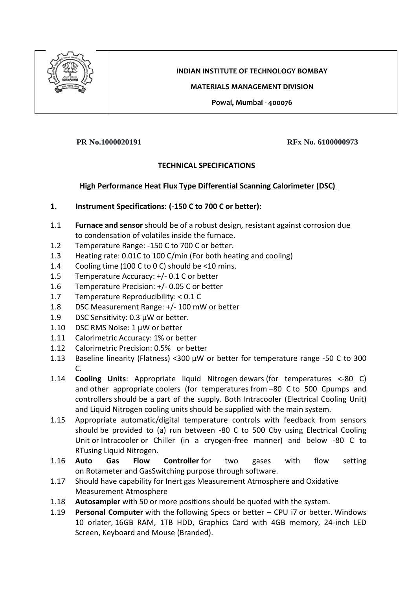

# **INDIAN INSTITUTE OF TECHNOLOGY BOMBAY**

#### **MATERIALS MANAGEMENT DIVISION**

**Powai, Mumbai - 400076**

**PR No.1000020191 RFx No. 6100000973**

## **TECHNICAL SPECIFICATIONS**

## **High Performance Heat Flux Type Differential Scanning Calorimeter (DSC)**

## **1. Instrument Specifications: (-150 C to 700 C or better):**

- 1.1 **Furnace and sensor** should be of a robust design, resistant against corrosion due to condensation of volatiles inside the furnace.
- 1.2 Temperature Range: -150 C to 700 C or better.
- 1.3 Heating rate: 0.01C to 100 C/min (For both heating and cooling)
- 1.4 Cooling time (100 C to 0 C) should be <10 mins.
- 1.5 Temperature Accuracy: +/- 0.1 C or better
- 1.6 Temperature Precision: +/- 0.05 C or better
- 1.7 Temperature Reproducibility: < 0.1 C
- 1.8 DSC Measurement Range: +/- 100 mW or better
- 1.9 DSC Sensitivity: 0.3 μW or better.
- 1.10 DSC RMS Noise: 1 µW or better
- 1.11 Calorimetric Accuracy: 1% or better
- 1.12 Calorimetric Precision: 0.5%  or better
- 1.13 Baseline linearity (Flatness) <300 µW or better for temperature range -50 C to 300 C.
- 1.14 **Cooling Units**: Appropriate liquid Nitrogen dewars (for temperatures <-80 C) and other appropriate coolers (for temperatures from –80 C to 500 Cpumps and controllers should be a part of the supply. Both Intracooler (Electrical Cooling Unit) and Liquid Nitrogen cooling units should be supplied with the main system.
- 1.15 Appropriate automatic/digital temperature controls with feedback from sensors should be provided to (a) run between -80 C to 500 Cby using Electrical Cooling Unit or Intracooler or Chiller (in a cryogen-free manner) and below -80 C to RTusing Liquid Nitrogen.
- 1.16 **Auto Gas Flow Controller** for two gases with flow setting on Rotameter and GasSwitching purpose through software.
- 1.17 Should have capability for Inert gas Measurement Atmosphere and Oxidative Measurement Atmosphere
- 1.18 **Autosampler** with 50 or more positions should be quoted with the system.
- 1.19 **Personal Computer** with the following Specs or better CPU i7 or better. Windows 10 orlater, 16GB RAM, 1TB HDD, Graphics Card with 4GB memory, 24-inch LED Screen, Keyboard and Mouse (Branded).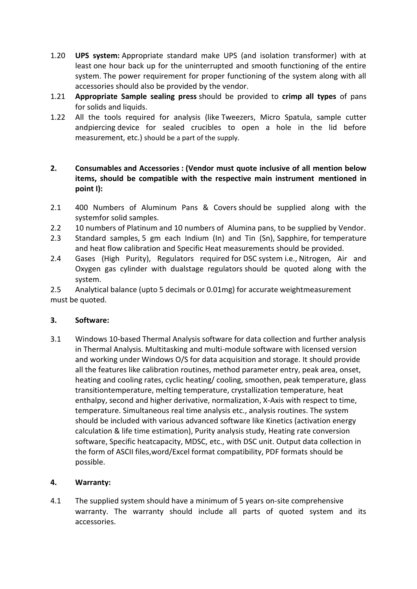- 1.20 **UPS system:** Appropriate standard make UPS (and isolation transformer) with at least one hour back up for the uninterrupted and smooth functioning of the entire system. The power requirement for proper functioning of the system along with all accessories should also be provided by the vendor.
- 1.21 **Appropriate Sample sealing press** should be provided to **crimp all types** of pans for solids and liquids.
- 1.22 All the tools required for analysis (like Tweezers, Micro Spatula, sample cutter andpiercing device for sealed crucibles to open a hole in the lid before measurement, etc.) should be a part of the supply.

## **2. Consumables and Accessories : (Vendor must quote inclusive of all mention below items, should be compatible with the respective main instrument mentioned in point I):**

- 2.1 400 Numbers of Aluminum Pans & Covers should be supplied along with the systemfor solid samples.
- 2.2 10 numbers of Platinum and 10 numbers of Alumina pans, to be supplied by Vendor.
- 2.3 Standard samples, 5 gm each Indium (In) and Tin (Sn), Sapphire, for temperature and heat flow calibration and Specific Heat measurements should be provided.
- 2.4 Gases (High Purity), Regulators required for DSC system i.e., Nitrogen, Air and Oxygen gas cylinder with dualstage regulators should be quoted along with the system.

2.5 Analytical balance (upto 5 decimals or 0.01mg) for accurate weightmeasurement must be quoted.

## **3. Software:**

3.1 Windows 10-based Thermal Analysis software for data collection and further analysis in Thermal Analysis. Multitasking and multi-module software with licensed version and working under Windows O/S for data acquisition and storage. It should provide all the features like calibration routines, method parameter entry, peak area, onset, heating and cooling rates, cyclic heating/ cooling, smoothen, peak temperature, glass transitiontemperature, melting temperature, crystallization temperature, heat enthalpy, second and higher derivative, normalization, X-Axis with respect to time, temperature. Simultaneous real time analysis etc., analysis routines. The system should be included with various advanced software like Kinetics (activation energy calculation & life time estimation), Purity analysis study, Heating rate conversion software, Specific heatcapacity, MDSC, etc., with DSC unit. Output data collection in the form of ASCII files,word/Excel format compatibility, PDF formats should be possible.

## **4. Warranty:**

4.1 The supplied system should have a minimum of 5 years on-site comprehensive warranty. The warranty should include all parts of quoted system and its accessories.